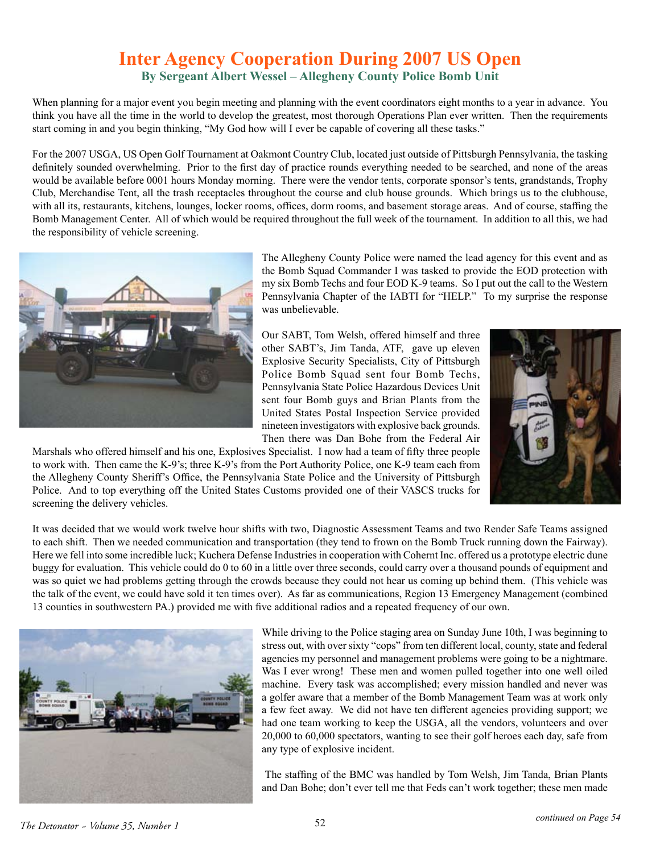## **Inter Agency Cooperation During 2007 US Open By Sergeant Albert Wessel – Allegheny County Police Bomb Unit**

When planning for a major event you begin meeting and planning with the event coordinators eight months to a year in advance. You think you have all the time in the world to develop the greatest, most thorough Operations Plan ever written. Then the requirements start coming in and you begin thinking, "My God how will I ever be capable of covering all these tasks."

For the 2007 USGA, US Open Golf Tournament at Oakmont Country Club, located just outside of Pittsburgh Pennsylvania, the tasking definitely sounded overwhelming. Prior to the first day of practice rounds everything needed to be searched, and none of the areas would be available before 0001 hours Monday morning. There were the vendor tents, corporate sponsor's tents, grandstands, Trophy Club, Merchandise Tent, all the trash receptacles throughout the course and club house grounds. Which brings us to the clubhouse, with all its, restaurants, kitchens, lounges, locker rooms, offices, dorm rooms, and basement storage areas. And of course, staffing the Bomb Management Center. All of which would be required throughout the full week of the tournament. In addition to all this, we had the responsibility of vehicle screening.



The Allegheny County Police were named the lead agency for this event and as the Bomb Squad Commander I was tasked to provide the EOD protection with my six Bomb Techs and four EOD K-9 teams. So I put out the call to the Western Pennsylvania Chapter of the IABTI for "HELP." To my surprise the response was unbelievable.

Our SABT, Tom Welsh, offered himself and three other SABT's, Jim Tanda, ATF, gave up eleven Explosive Security Specialists, City of Pittsburgh Police Bomb Squad sent four Bomb Techs, Pennsylvania State Police Hazardous Devices Unit sent four Bomb guys and Brian Plants from the United States Postal Inspection Service provided nineteen investigators with explosive back grounds. Then there was Dan Bohe from the Federal Air



Marshals who offered himself and his one, Explosives Specialist. I now had a team of fifty three people to work with. Then came the K-9's; three K-9's from the Port Authority Police, one K-9 team each from the Allegheny County Sheriff's Office, the Pennsylvania State Police and the University of Pittsburgh Police. And to top everything off the United States Customs provided one of their VASCS trucks for screening the delivery vehicles.

It was decided that we would work twelve hour shifts with two, Diagnostic Assessment Teams and two Render Safe Teams assigned to each shift. Then we needed communication and transportation (they tend to frown on the Bomb Truck running down the Fairway). Here we fell into some incredible luck; Kuchera Defense Industries in cooperation with Cohernt Inc. offered us a prototype electric dune buggy for evaluation. This vehicle could do 0 to 60 in a little over three seconds, could carry over a thousand pounds of equipment and was so quiet we had problems getting through the crowds because they could not hear us coming up behind them. (This vehicle was the talk of the event, we could have sold it ten times over). As far as communications, Region 13 Emergency Management (combined 13 counties in southwestern PA.) provided me with five additional radios and a repeated frequency of our own.



While driving to the Police staging area on Sunday June 10th, I was beginning to stress out, with over sixty "cops" from ten different local, county, state and federal agencies my personnel and management problems were going to be a nightmare. Was I ever wrong! These men and women pulled together into one well oiled machine. Every task was accomplished; every mission handled and never was a golfer aware that a member of the Bomb Management Team was at work only a few feet away. We did not have ten different agencies providing support; we had one team working to keep the USGA, all the vendors, volunteers and over 20,000 to 60,000 spectators, wanting to see their golf heroes each day, safe from any type of explosive incident.

 The staffing of the BMC was handled by Tom Welsh, Jim Tanda, Brian Plants and Dan Bohe; don't ever tell me that Feds can't work together; these men made